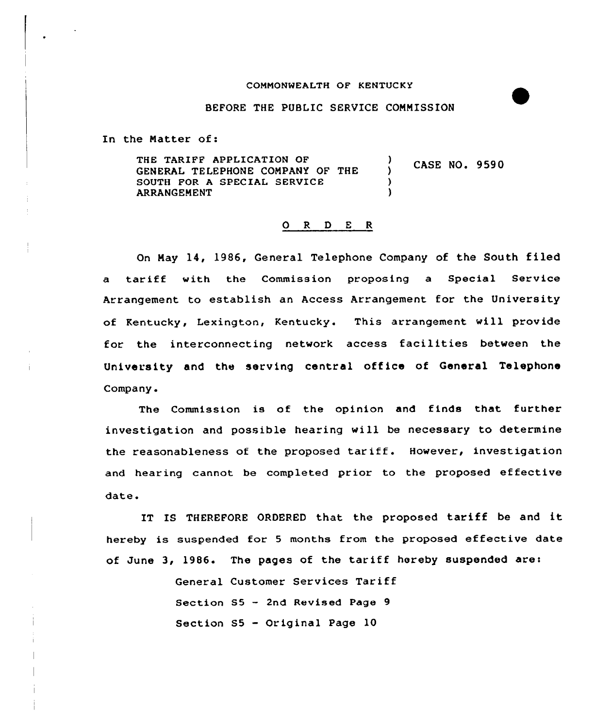## COMMONWEALTH OF KENTUCKY

## BEFORE THE PUBLIC SERVICE COMMISSION

In the Matter of:

THE TARIFF APPLICATION OF  $\lambda$ CASE NO. 9590 GENERAL TELEPHONE COMPANY OF THE  $\lambda$ SOUTH FOR A SPECIAL SERVICE ) ARRANGEMENT )

## 0 R <sup>D</sup> E <sup>R</sup>

On May 14, 1986, General Telephone Company of the South filed a tariff with the Commission proposing a Special Service Arrangement to establish an Access Arrangement for the University of Kentucky, Lexington, Kentucky. This arrangement will provide for the interconnecting network access facilities between the University and the serving central office of General Telephone Company.

The Commission is of the opinion and finds that further investigation and possible hearing will be necessary to determine the reasonableness of the proposed tariff. However, investigation and hearing cannot be completed prior to the proposed effective date.

IT IS THEREFORE ORDERED that the proposed tariff be and it hereby is suspended for <sup>5</sup> months from the proposed effective date of June 3, 1986. The pages of the tariff hereby suspended are:

> General Customer Services Tariff Section S5 — 2nd Revised Page 9 Section S5 — Original Page 10